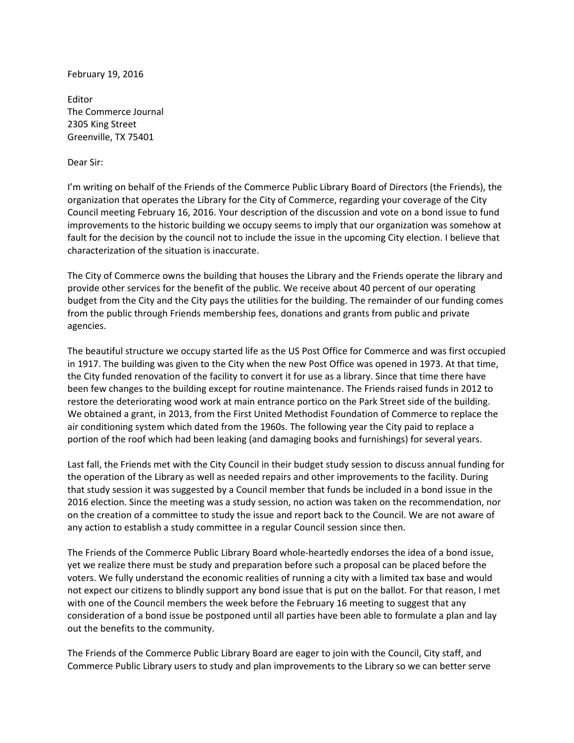February 19, 2016

Editor The Commerce Journal 2305 King Street Greenville, TX 75401

## Dear Sir:

I'm writing on behalf of the Friends of the Commerce Public Library Board of Directors (the Friends), the organization that operates the Library for the City of Commerce, regarding your coverage of the City Council meeting February 16, 2016. Your description of the discussion and vote on a bond issue to fund improvements to the historic building we occupy seems to imply that our organization was somehow at fault for the decision by the council not to include the issue in the upcoming City election. I believe that characterization of the situation is inaccurate.

The City of Commerce owns the building that houses the Library and the Friends operate the library and provide other services for the benefit of the public. We receive about 40 percent of our operating budget from the City and the City pays the utilities for the building. The remainder of our funding comes from the public through Friends membership fees, donations and grants from public and private agencies.

The beautiful structure we occupy started life as the US Post Office for Commerce and was first occupied in 1917. The building was given to the City when the new Post Office was opened in 1973. At that time, the City funded renovation of the facility to convert it for use as a library. Since that time there have been few changes to the building except for routine maintenance. The Friends raised funds in 2012 to restore the deteriorating wood work at main entrance portico on the Park Street side of the building. We obtained a grant, in 2013, from the First United Methodist Foundation of Commerce to replace the air conditioning system which dated from the 1960s. The following year the City paid to replace a portion of the roof which had been leaking (and damaging books and furnishings) for several years.

Last fall, the Friends met with the City Council in their budget study session to discuss annual funding for the operation of the Library as well as needed repairs and other improvements to the facility. During that study session it was suggested by a Council member that funds be included in a bond issue in the 2016 election. Since the meeting was a study session, no action was taken on the recommendation, nor on the creation of a committee to study the issue and report back to the Council. We are not aware of any action to establish a study committee in a regular Council session since then.

The Friends of the Commerce Public Library Board whole‐heartedly endorses the idea of a bond issue, yet we realize there must be study and preparation before such a proposal can be placed before the voters. We fully understand the economic realities of running a city with a limited tax base and would not expect our citizens to blindly support any bond issue that is put on the ballot. For that reason, I met with one of the Council members the week before the February 16 meeting to suggest that any consideration of a bond issue be postponed until all parties have been able to formulate a plan and lay out the benefits to the community.

The Friends of the Commerce Public Library Board are eager to join with the Council, City staff, and Commerce Public Library users to study and plan improvements to the Library so we can better serve